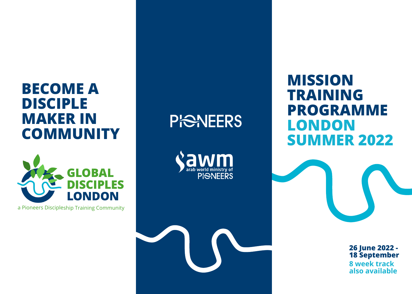# **BECOME A DISCIPLE MAKER IN COMMUNITY**



<sup>a</sup> Pioneers Discipleship Training Community

# **PISNEERS**

**PI<del>S</del>NEERS** 

# **MISSION TRAINING PROGRAMME LONDON SUMMER 2022**

**8 week track also available 26 June 2022 - 18 September**